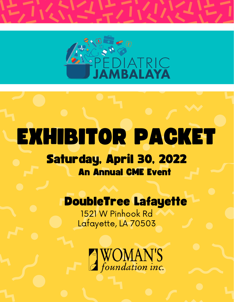



# EXHIBITOR PACKET

### Saturday, April 30, 2022 An Annual CME Event

#### DoubleTree Lafayette

1521 W Pinhook Rd Lafayette, LA 70503

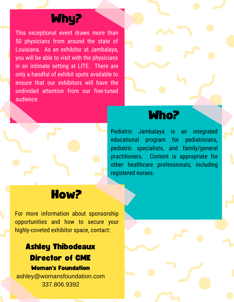#### Why?

This exceptional event draws more than 50 physicians from around the state of Louisiana. As an exhibitor at Jambalaya, you will be able to visit with the physicians in an intimate setting at LITE. There are only a handful of exhibit spots available to ensure that our exhibitors will have the undivided attention from our fine-tuned audience.

#### Who?

Pediatric Jambalaya is an integrated educational program for pediatricians, pediatric specialists, and family/general practitioners. Content is appropriate for other healthcare professionals, including registered nurses.

#### How?

For more information about sponsorship opportunities and how to secure your highly-coveted exhibitor space, contact:

#### Ashley Thibodeaux Director of CME Woman's Foundation

ashley@womansfoundation.com 337.806.9392